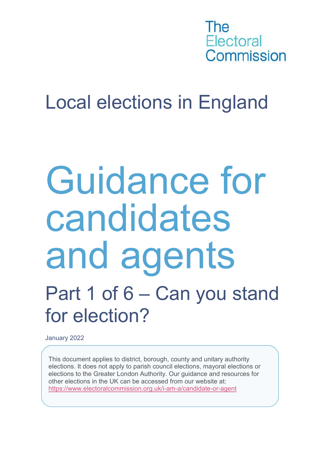

### Local elections in England

## Guidance for elections. It does not applies to district, borough, county and unitary authority<br>elections. It does not apply to parish council elections, mayoral elections or<br>elections. It does not apply to parish council elections, may **elections of the Greater London Authority**<br> **elections to the Greater London Authority**<br> **elections It does not apply to parish coundt, county and unitary authority**<br> **elections** is the Greater London Authority. Our guida **anuary 2022**<br> **other elections in the accessed from our website at:**<br>
Other elections in the UK can be accessed from our website at:<br>
other elections in the UK can be accessed from our website at:<br> **https://www.electoralc** Part 1 of 6 – Can you stand for election?

January 2022

This document applies to district, borough, county and unitary authority https://www.electoralcommission.org.uk/i-am-a/candidate-or-agent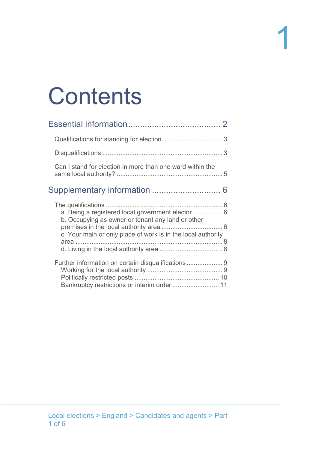## **Contents**

| Can I stand for election in more than one ward within the                                                                                                             |  |
|-----------------------------------------------------------------------------------------------------------------------------------------------------------------------|--|
|                                                                                                                                                                       |  |
| a. Being a registered local government elector 6<br>b. Occupying as owner or tenant any land or other<br>c. Your main or only place of work is in the local authority |  |
| Further information on certain disqualifications<br>Bankruptcy restrictions or interim order 11                                                                       |  |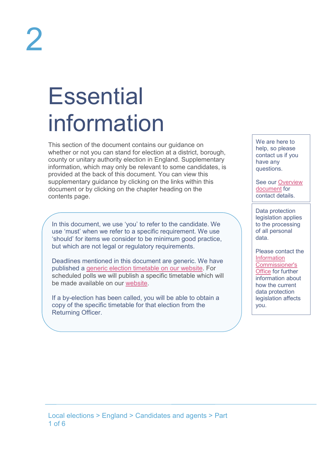## **Essential** information

This section of the document contains our guidance on whether or not you can stand for election at a district, borough, and the p, so please ESSential<br>
information of the document contains our guidance on<br>
This section of the document contains our guidance on<br>
whether or not you can stand for election at a district, borough,<br>
county or unitary authority electio information, which may only be relevant to some candidates, is **ESSential**<br> **provided at the document contains our guidance on**<br>
We are here to<br>
whether or not you can stand for election at a district, borough,<br>
wouthy or unitary authority election in England. Supplementary<br>
informati Essembly and the document contains our guidance on<br>the correct or of the document contains our guidance on<br>whether or not you can stand for election at a district, borough,<br>normation, which may only be relevant to some can document or by clicking on the chapter heading on the contents page. <u>ESCITIAI</u><br>
his section of the document contains our guidance on<br>
the group of the p, so please<br>
ounty or unitary authority election at a district, borough,<br>
formation, which may only be relevant to some candidates, is<br>
up From the document contains our guidance on<br>
we are here to<br>
hether or not you can stand for election at a district, borough,<br>
below to the mand Supplementary<br>
into the mand Supplementary<br>
into the mand Supplementary publis Normation, which may anthorty electron in England. Supplementary<br>
Information, which may only be relevant to some candidates, is<br>
upplementary guidance by clicking on the links within this<br>
ontents page.<br>
In this document,

In this document, we use 'you' to refer to the candidate. We 'should' for items we consider to be minimum good practice, but which are not legal or regulatory requirements.

Deadlines mentioned in this document are generic. We have published a generic election timetable on our website. For be made available on our website.

copy of the specific timetable for that election from the Returning Officer.

We are here to help, so please We are here to<br>help, so please<br>contact us if you<br>have any<br>questions.<br>See our <u>Overview</u><br>document for have any questions.

See our Overview document for contact details.

Data protection legislation applies to the processing of all personal data.

Please contact the **Information** Commissioner's Office for further information about how the current data protection have any<br>
questions.<br>
See our <u>Overview</u><br>
document for<br>
contact details.<br>
<br>
Data protection<br>
legislation applies<br>
to the processing<br>
of all personal<br>
data.<br>
Please contact the<br>
<u>Information</u><br>
Commissioner's<br>
Office for fur you.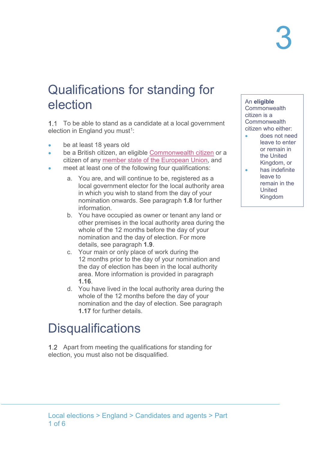## Qualifications for standing for election **Ialifications for standing for**<br> **Commonwealth**<br>
To be able to stand as a candidate at a local government<br>
To be at least 18 years old<br>
be a British citizen, an eligible Commonwealth citizen or a<br>
be a British citizen, an

election in England you must<sup>1</sup>: :

- be at least 18 years old
- be a British citizen, an eligible Commonwealth citizen or a citizen of any member state of the European Union, and
- meet at least one of the following four qualifications:
- a. You are, and will continue to be, registered as a local government elector for the local authority area in which you wish to stand from the day of your Fications for standing for<br>
able to stand as a candidate at a local government<br>
England you must<sup>1</sup>:<br>
Least 18 years old<br>
British citizen, an eligible <u>Commonwealth citizen</u> or a<br>
at least one of the European Union, and<br>
a information. b. You have occupied as owner or tenant any land or **fications for standing for**<br> **on**<br>
able to stand as a candidate at a local government<br>
England you must<sup>1</sup>:<br>
East 18 years old<br>
British citizen, an eligible Commonwealth citizen or a<br>
of any <u>member state of the European </u> **On**<br> **England you must<sup>1</sup>:**<br> **England you must<sup>1</sup>:<br>
England you must<sup>1</sup>:<br>
England you must<sup>1</sup>:<br>
England you must<sup>1</sup>:<br>
England you must<sup>1</sup>:<br>
<br>
England you must<sup>1</sup>:<br>
<br>
England you must<sup>1</sup>:<br>
<br>
<br>
Commonwealth citizen or a<br>

<br>** 2 months prior to the day of your have a conditional and the discussion was the discussion of any <u>member state of the European Union</u>, and the day of particle of the following four qualifications:<br>
You are, and will conti e a British citizen, an eligible Commonwealth citizen or a<br>
itizen of any <u>member state of the European Union</u>, and<br>
the Lead is the European Union, and<br>
the the state of the following four qualifications:<br>
a. You are, and at least one of the following four qualifications:<br>
You are, and will continue to be, registered as a<br>
local government elector of the local authority area<br>
in which you wish to stand from the day of your<br>
Immination<br>
in m
	- whole of the 12 months before the day of your details, see paragraph **1.9**.<br>c. Your main or only place of work during the
	- the day of election has been in the local authority area. More information is provided in paragraph
	- whole of the 12 months before the day of your 1.17 for further details.

#### **Disqualifications**

1.2 Apart from meeting the qualifications for standing for election, you must also not be disqualified.

An eligible **Commonwealth** citizen is a **Commonwealth** citizen who either:

- does not need leave to enter or remain in the United Kingdom, or
- has indefinite leave to remain in the United Kingdom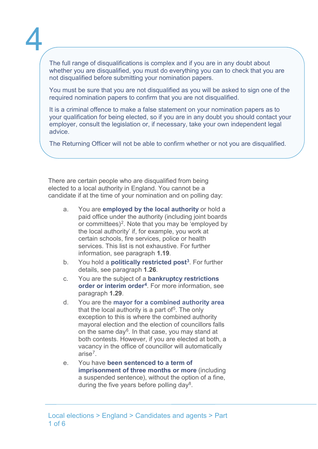The full range of disqualifications is complex and if you are in any doubt about whether you are disqualified, you must do everything you can to check that you are not disqualified before submitting your nomination papers. The full range of disqualifications is complex and if you are in any doubt about<br>whether you are disqualified, you must do everything you can to check that you are<br>not disqualified before submitting your nomination papers.

required nomination papers to confirm that you are not disqualified.

It is a criminal offence to make a false statement on your nomination papers as to your qualification for being elected, so if you are in any doubt you should contact your employer, consult the legislation or, if necessary, take your own independent legal advice. Fine full range of disqualifications is complex and if you are in any doubt about<br>whether you are disqualified, you must do everything you can to check that you are<br>not disqualified before submitting your nomination papers mer you are usqualified by the model with the developming you can to check that you are is applying the state by the metal and the state of an any douty all the red nomination papers to confirm that you are not disqualifie

The Returning Officer will not be able to confirm whether or not you are disqualified.

There are certain people who are disqualified from being candidate if at the time of your nomination and on polling day:

- paid office under the authority (including joint boards or committees)2 . Note that you may be 'employed by the local authority' if, for example, you work at certain schools, fire services, police or health services. This list is not exhaustive. For further oyer, consult the legislation or, if necessary, take your own independent legal<br>i.e.<br>Returning Officer will not be able to confirm whether or not you are disqualified<br>at each a local authority in England. You cannot be a<br>d e are certain people who are disqualified from being<br>ed to a local authority in England. You cannot be a<br>date if at the time of your nomination and on polling day:<br>and office under the authority (including joint boards<br>or
- You hold a **politically restricted post**<sup>3</sup>. For further details, see paragraph 1.26.<br>c. You are the subject of a **bankruptcy restrictions**
- order or interim order<sup>4</sup>. For more information, see
- that the local authority is a part of $^5$ . The only exception to this is where the combined authority mayoral election and the election of councillors falls on the same day $^6$ . In that case, you may stand at both contests. However, if you are elected at both, a vacancy in the office of councillor will automatically arise7 or commutes). Note that you may be employed by<br>the local authority' if, for example, you work at<br>certain schools, fire services, police or health<br>services. This list is not exhaustive. For further<br>information, see paragra in local and<br>interior and in the oriental is chools, fire services, police or health<br>services. This list is not exhaustive. For further<br>hervices. This list is not exhaustive. For further<br>details, see paragraph **1.26**.<br>You
- a suspended sentence), without the option of a fine, during the five years before polling day $\rm ^8$ .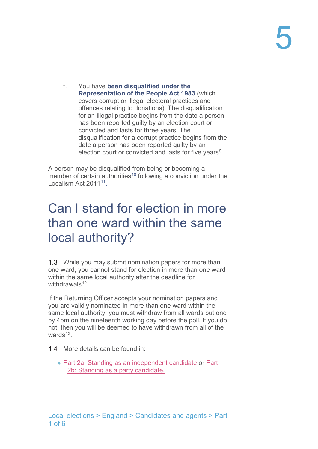f. You have been disqualified under the<br>Representation of the People Act 1983 (which<br>covers corrupt or illegal electoral practices and<br>offences relating to donations). The disqualification<br>for an illegal practice begins fr Representation of the People Act 1983 (which covers corrupt or illegal electoral practices and You have been disqualified under the<br>Representation of the People Act 1983 (which<br>covers corrupt or illegal electoral practices and<br>offences relating to donations). The disqualification<br>for an illegal practice begins from for an illegal practice begins from the date a person has been reported guilty by an election court or You have been disqualified under the<br>Representation of the People Act 1983 (which<br>covers corrupt or illegal electoral practices and<br>offences relating to donations). The disqualification<br>for an illegal practice begins from disqualification for a corrupt practice begins from the date a person has been reported guilty by an election court or convicted and lasts for five years<sup>9</sup>. For the People Act 1983 (which<br>
For the People Act 1983 (which<br>
covers corrupt or illegal electoral practices and<br>
offences relating to donations). The disqualification<br>
for an illegal practice begins from the date a perso

. A person may be disqualified from being or becoming a member of certain authorities<sup>10</sup> following a conviction under the Localism Act 2011<sup>11</sup>.

### Can I stand for election in more local authority?

While you may submit nomination papers for more than one ward, you cannot stand for election in more than one ward within the same local authority after the deadline for withdrawals $12$ .

If the Returning Officer accepts your nomination papers and you are validly nominated in more than one ward within the same local authority, you must withdraw from all wards but one Localism Act 2011<sup>11</sup>.<br> **Can I stand for election in more**<br> **than one ward within the same**<br> **local authority?**<br>
1.3 While you may submit nomination papers for more than<br>
one ward, you cannot stand for election in more tha not, then you will be deemed to have withdrawn from all of the wards $13$ 

- 1.4 More details can be found in:
	- Part 2a: Standing as an independent candidate or Part 2b: Standing as a party candidate.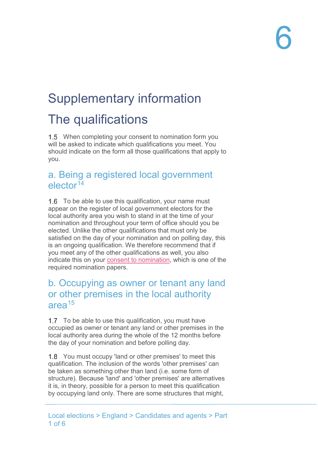#### Supplementary information

#### The qualifications

1.5 When completing your consent to nomination form you will be asked to indicate which qualifications you meet. You should indicate on the form all those qualifications that apply to you. Supplementary information<br>The qualifications<br>1.5 When completing your consent to nomination form you<br>will be asked to indicate which qualifications you meet. You<br>should indicate on the form all those qualifications that ap

### $e$ lector $14$

pplementary information<br>
e qualifications<br>
When completing your consent to nomination form you<br>
e asked to indicate which qualifications you meet. You<br>
dindicate on the form all those qualifications that apply to<br>
Being a **Supplementary information<br>The qualifications**<br>1.5 When completing your consent to nomination form you<br>will be asked to indicate which qualifications you meet. You<br>should indicate on the form all those qualifications that **Supplementary information**<br>
The qualifications<br>
1.5 When completing your consent to nomination form you<br>
will be asked to indicate which qualifications you meet. You<br>
should indicate on the form all those qualifications t nomination and throughout your term of office should you be **Supplementary information**<br>The qualifications<br>
1.5 When completing your consent to nomination form you<br>
will be asked to indicate which qualifications you meet. You<br>
should indicate on the form all those qualifications th satisfied on the day of your nomination and on polling day, this The qualifications<br>
1.5 When completing your consent to nomination form you<br>
will be asked to indicate which qualifications you meet. You<br>
should indicate on the form all those qualifications that apply to<br>
you.<br>
2. Being you meet any of the other qualifications as well, you also indicate this on your consent to nomination, which is one of the required nomination papers. you.<br>
a. Being a registered local government<br>
elector<sup>14</sup><br>
1.6 To be able to use this qualification, your ame must<br>
appear on the register of local government electors for the<br>
local authority area you wish to stand in at 1.6 To be able to use this qualification, your name must<br>appear on the register of local government electors for the<br>local authority area you wish to stand in at the time of your<br>nomination and throughout your term of offi not and the day of your nomination shad must be a be contracted by the statisfied on the day of your nomination and on polling day, this is an ongoing qualification. We therefore recommend that if you meet any of the other

#### b. Occupying as owner or tenant any land  $area<sup>15</sup>$

1.7 To be able to use this qualification, you must have local authority area during the whole of the 12 months before the day of your nomination and before polling day.

1.8 You must occupy 'land or other premises' to meet this be taken as something other than land (i.e. some form of because the care of the three are some that the three are alternatives is an ongoing qualification. We therefore recommend that if you meet any of the other qualifications as well, you also indicate this on your <u>consent t</u> it is, in theory, possible for a person to meet this qualification by a most way are stated that mindicate this on your <u>consent to nomination</u>, which is one of the required nomination papers.<br>
b. Occupying as owner or tenant any land<br>
or other premises in the local authority<br>
area<sup>15</sup><br>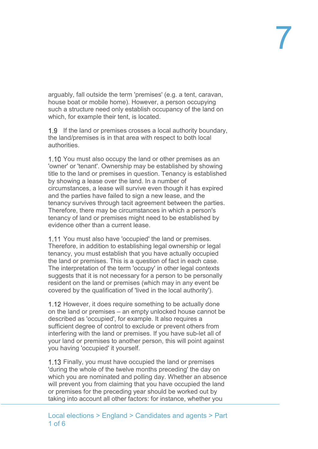arguably, fall outside the term 'premises' (e.g. a tent, caravan, arguably, fall outside the term 'premises' (e.g. a tent, caravan,<br>house boat or mobile home). However, a person occupying<br>such a structure need only establish occupancy of the land on<br>which, for example their tent, is loca such a structure need only establish occupancy of the land on which, for example their tent, is located.

1.9 If the land or premises crosses a local authority boundary, the land/premises is in that area with respect to both local authorities.

1.10 You must also occupy the land or other premises as an 'owner' or 'tenant'. Ownership may be established by showing arguably, fall outside the term 'premises' (e.g. a tent, caravan,<br>house boat or mobile home). However, a person occupying<br>such a structure need only establish occupancy of the land on<br>which, for example their tent, is loca by showing a lease over the land. In a number of circumstances, a lease will survive even though it has expired and the parties have failed to sign a new lease, and the tenancy survives through tacit agreement between the parties. Therefore, there may be circumstances in which a person's tenancy of land or premises might need to be established by evidence other than a current lease. 1.9 If the land or premises crosses a local authority boundary,<br>the land/premises is in that area with respect to both local<br>authorities.<br>1.10 You must also occupy the land or other premises as an<br>owner' or tenant. Ownersh

1.11 You must also have 'occupied' the land or premises. Therefore, in addition to establishing legal ownership or legal tenancy, you must establish that you have actually occupied The interpretation of the term 'occupy' in other legal contexts suggests that it is not necessary for a person to be personally resident on the land or premises (which may in any event be covered by the qualification of 'lived in the local authority'). and the parties have failed to sign a new lease, and the parties have and the parties.<br>Therefore, there may be circumstances in which a person's<br>Therefore, there may be circumstances in which a person's<br>evidence other than renancy survives through tact agreement between the parties.<br>Therefore, there may be circumstances in which a person's<br>tenancy of land or premises might need to be established by<br>evidence other than a current lease.<br>Theref 1.11 You must also have 'occupied' the land of premises. The land or premises the land or premises. This is a question of act in eact will y occupied tenancy, you must establish that you have actually occupied tenancy, you

1.12 However, it does require something to be actually done on the land or premises – an empty unlocked house cannot be described as 'occupied', for example. It also requires a sufficient degree of control to exclude or prevent others from you having 'occupied' it yourself.

1.13 Finally, you must have occupied the land or premises 'during the whole of the twelve months preceding' the day on will prevent you from claiming that you have occupied the land or premises for the preceding year should be worked out by taking into account all other factors: for instance, whether you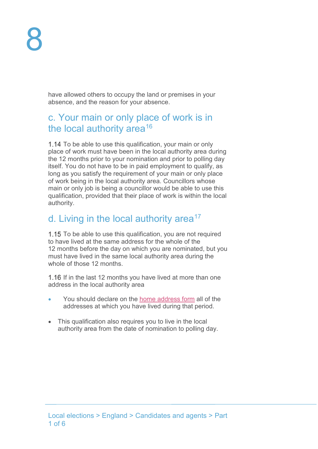have allowed others to occupy the land or premises in your absence, and the reason for your absence.

# have allowed others to occupy the land or premises in your<br>absence, and the reason for your absence.<br>C. Your main or only place of work is in<br>the local authority area<sup>16</sup><br>1.14 To be able to use this qualification, your mai the local authority area $16$

1.14 To be able to use this qualification, your main or only place of work must have been in the local authority area during the 12 months prior to your nomination and prior to polling day have allowed others to occupy the land or premises in your<br>absence, and the reason for your absence.<br>C. Your main or only place of work is in<br>the local authority area<sup>16</sup><br>1.14 To be able to use this qualification, your mai long as you satisfy the requirement of your main or only place of work being in the local authority area. Councillors whose main or only job is being a councillor would be able to use this have allowed others to occupy the land or premises in your<br>absence, and the reason for your absence.<br>C. Your main or only place of work is in<br>the local authority area<sup>16</sup><br>1.14 To be able to use this qualification, your mai authority. have allowed others to occupy the land or premises in your<br>absence, and the reason for your absence.<br>C. Your main or only place of work is in<br>the local authority area<sup>16</sup><br>1.14 To be able to use this qualification, your ma c. Your main or only place of work is in<br>the local authority area<sup>16</sup><br>1.14 To be able to use this qualification, your main or only<br>place of work must have been in the local authority area during<br>the 12 months prior to you C. Y OUT Mialfil of Orlify place of work is in<br>the local authority area<sup>16</sup><br>the local authority area<sup>16</sup><br>place of work must have been in the local authority area during<br>the 12 months prior to your nomination and prior to Fire the diverse to the mean that the mean of the mean of the diverses in the local authority area during the 12 months prior to your nomination and prior to polling day tiself. You to not have to be in paid employment to From the box of variance and point of the home of the point of the products and point of your dandred and propriet to qualify, as as you satisfy the requirement of your main or only place or only job is being a councillor

## d. Living in the local authority area<sup>17</sup><br>1.15 To be able to use this qualification, you are not required

to have lived at the same address for the whole of the whole of those 12 months.

1.16 If in the last 12 months you have lived at more than one

- addresses at which you have lived during that period.
- This qualification also requires you to live in the local authority area from the date of nomination to polling day.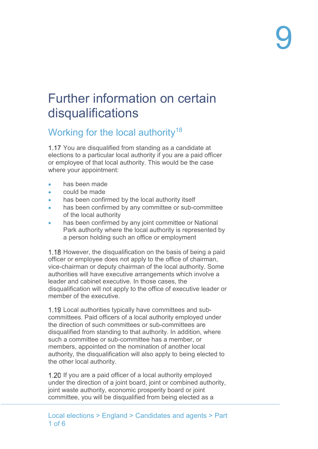## Further information on certain disqualifications Further information on certain<br>disqualifications<br>Working for the local authority<sup>18</sup><br>1.17 You are disqualified from standing as a candidate at<br>elections to a particular local authority if you are a paid officer<br>or employee

1.17 You are disqualified from standing as a candidate at Further information on certain<br>disqualifications<br>Working for the local authority <sup>18</sup><br>1.17 You are disqualified from standing as a candidate at<br>elections to a paticular local authority if you are a paid officer<br>or employee or employee of that local authority. This would be the case where your appointment: rther information on certain<br>
igualifications<br>
rking for the local authority<sup>18</sup><br>
You are disqualified from standing as a candidate at<br>
ons to a particular local authority if you are a paid officer<br>
ployee of that local au **rther information on certain**<br> **Squalifications**<br> **Squalifications**<br> **Solution** for the local authority<sup>18</sup><br> **Solution** is a particular local authority if you are a paid officer<br>
ployee of that local authority. This would rther information on certain<br>
squalifications<br>
rking for the local authority<sup>18</sup><br>
You are disqualified from standing as a candidate at<br>
ons to a particular local authority if you are a paid officer<br>
ployee of that local au **rther information on certain**<br> **colularifications**<br> **colularity** for the local authority<sup>18</sup><br>
You are disqualified from standing as a candidate at<br>
ons to a particular local authority if you are a paid officer<br>
phologe of

- has been made
- could be made
- has been confirmed by the local authority itself
- 
- a person holding such an office or employment

1.18 However, the disqualification on the basis of being a paid officer or employee does not apply to the office of chairman, Working for the local authority<sup>18</sup><br>
1.17 You are disqualified from standing as a candidate at<br>
elections to a particular local authority if you are a paid officer<br>
or employee of that local authority. This would be the c authorities will have executive arrangements which involve a 1.17 You are disqualified from standing as a candidate at elections to a particular local authority if you are a paid officer or employee of that local authority. This would be the case<br>where your appointment:<br>where your a disqualification will not apply to the office of executive leader or member of the executive.

1.19 Local authorities typically have committees and subcommittees. Paid officers of a local authority employed under the direction of such committees or sub-committees are • laas been confirmed by the local authority itself<br>• has been confirmed by any committee or sub-committee<br>• has been confirmed by any joint committee or National<br>• Park authority where the local authority is represented b such a committee or sub-committee has a member, or members, appointed on the nomination of another local authority, the disqualification will also apply to being elected to the other local authority.

1.20 If you are a paid officer of a local authority employed under the direction of a joint board, joint or combined authority, joint waste authority, economic prosperity board or joint committee, you will be disqualified from being elected as a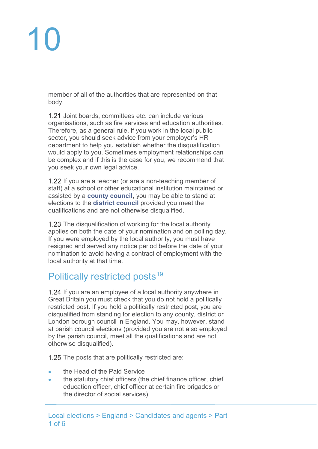## 10

member of all of the authorities that are represented on that body.

1.21 Joint boards, committees etc. can include various organisations, such as fire services and education authorities. Therefore, as a general rule, if you work in the local public sector, you should seek advice from your employer's HR **Marting the School School School School School**<br>the disputed of the authorities that are represented on that<br>depty.<br>Therefore, as a general rule, if you work in the local public<br>sector, you should seek advice from your em **Model apply to the summinity of the authorities that are represented on that body.**<br> **1.21** Joint boards, committees etc. can include various organisations, such as fire services and education authorities.<br>
Therefore, as be complex and if this is the case for you, we recommend that you seek your own legal advice.

1.22 If you are a teacher (or are a non-teaching member of staff) at a school or other educational institution maintained or assisted by a county council, you may be able to stand at elections to the district council provided you meet the qualifications and are not otherwise disqualified.

1.23 The disqualification of working for the local authority applies on both the date of your nomination and on polling day. If you were employed by the local authority, you must have resigned and served any notice period before the date of your nomination to avoid having a contract of employment with the local authority at that time. Secon, you sustanting the department to help you establish whether the disqualification would apply to you. Sometimes employment relationships can be complex and if this is the case for you, we recommend that you seek your

1.24 If you are an employee of a local authority anywhere in Great Britain you must check that you do not hold a politically restricted post. If you hold a politically restricted post, you are disqualified from standing for election to any county, district or **Example 12** and a caconomic for the contrivenesing member of the restrict at a school of other educational institution maintained or assisted by a county council, you may be able to stand at elections to the district coun at parish council elections (provided you are not also employed by the parish council, meet all the qualifications and are not otherwise disqualified).

1.25 The posts that are politically restricted are:

- the Head of the Paid Service
- the statutory chief officers (the chief finance officer, chief ä education officer, chief officer at certain fire brigades or the director of social services)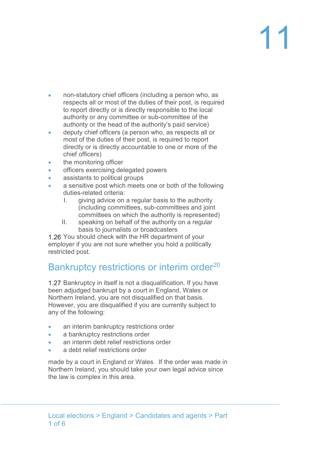## 11

- non-statutory chief officers (including a person who, as respects all or most of the duties of their post, is required to report directly or is directly responsible to the local authority or any committee or sub-committee of the authority or the head of the authority's paid service) non-statutory chief officers (including a person who, as<br>respects all or most of the duties of their post, is required<br>to report directly or is directly responsible to the local<br>authority or any committee or sub-committee non-statutory chief officers (including a person who, as<br>respects all or most of the duties of their post, is required<br>to report directly or is directly responsible to the local<br>authority or any committee or sub-committee
- deputy chief officers (a person who, as respects all or most of the duties of their post, is required to report directly or is directly accountable to one or more of the chief officers) to report directly or is directly responsible to the local<br>authority or any committee or sub-committee of the<br>authority or the head of the authority's paid service)<br>deputy chief officers (a person who, as respects all or<br>m e deputy chief officers (a person who, as respects all or<br>most of the duties of their post, is required to report<br>directly or is directly accountable to one or more of the<br>e-the monitoring officer<br>experiments or interimen
- the monitoring officer
- officers exercising delegated powers
- assistants to political groups
- a sensitive post which meets one or both of the following duties-related criteria:
	- (including committees, sub-committees and joint committees on which the authority is represented)
	- basis to journalists or broadcasters

1.26 You should check with the HR department of your restricted post.

directly or is directly accountable to one or more of the<br>thef officers<br>the monitoring officer<br>officers exercising delegated powers<br>assistants to political groups<br>a sensitive post which meets one or both of the following<br>d been adjudged bankrupt by a court in England, Wales or • the monitoring officer<br>• efficers exercising delegated powers<br>• a sensitive post which meets one or both of the following<br>duties-related criteria:<br>1. giving advice on a regular basis to the authority<br>(including committe • officers exercising delegated powers<br>
• a sensitive political groups<br>
• a sensitive post which meets one or both of the following<br>
duties-related criteria:<br>
1. giving acommittees, sub-committees and joint<br>
committees any of the following: made by a court in England or the attending or a regular<br>
1.28 You should check with the HR department of your<br>
employer if you are not sure whether you hold a politically<br>
restricted post.<br>
Bankruptcy restrictions or inte The employer if you are not sure whether you hold a politically<br>employer if you are not sure whether you hold a politically<br>restricted post.<br>**Bankruptcy** restrictions or interimorder<sup>20</sup><br>them algoritatively in itself is no

- an interim bankruptcy restrictions order
- a bankruptcy restrictions order
- an interim debt relief restrictions order
- a debt relief restrictions order

Northern Ireland, you should take your own legal advice since